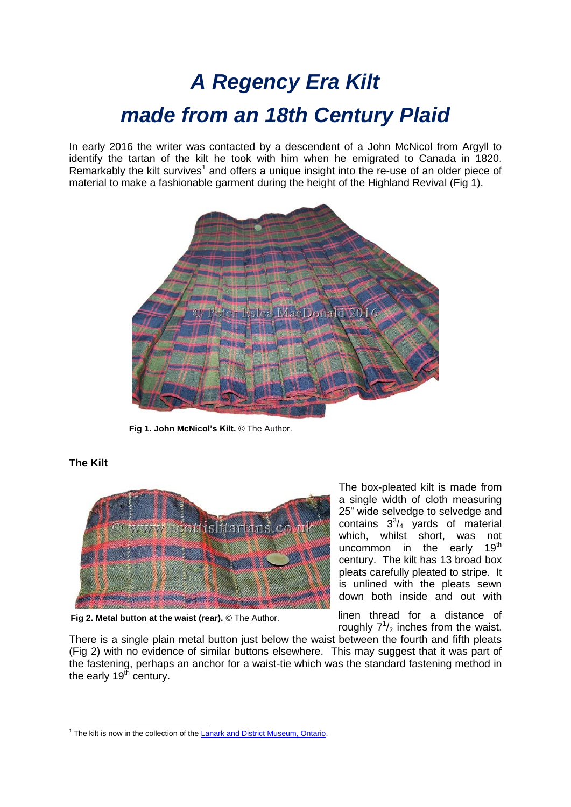# *A Regency Era Kilt made from an 18th Century Plaid*

In early 2016 the writer was contacted by a descendent of a John McNicol from Argyll to identify the tartan of the kilt he took with him when he emigrated to Canada in 1820. Remarkably the kilt survives<sup>1</sup> and offers a unique insight into the re-use of an older piece of material to make a fashionable garment during the height of the Highland Revival (Fig 1).



 **Fig 1. John McNicol's Kilt.** © The Author.



# **The Kilt**

**Fig 2. Metal button at the waist (rear).** © The Author.

The box-pleated kilt is made from a single width of cloth measuring 25" wide selvedge to selvedge and contains  $3^3/4$  yards of material which, whilst short, was not uncommon in the early  $19<sup>th</sup>$ century. The kilt has 13 broad box pleats carefully pleated to stripe. It is unlined with the pleats sewn down both inside and out with

linen thread for a distance of roughly  $7^{1}/_{2}$  inches from the waist.

There is a single plain metal button just below the waist between the fourth and fifth pleats (Fig 2) with no evidence of similar buttons elsewhere. This may suggest that it was part of the fastening, perhaps an anchor for a waist-tie which was the standard fastening method in the early  $19<sup>th</sup>$  century.

**<sup>.</sup>** <sup>1</sup> The kilt is now in the collection of th[e Lanark and District Museum, Ontario.](http://www.lanarkcountymuseums.ca/?Itemid=6&id=18&option=com_content&view=article)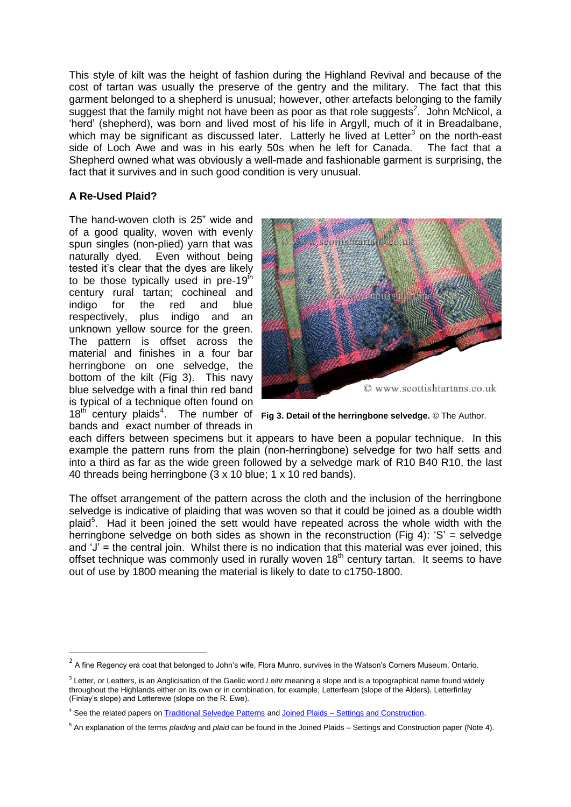This style of kilt was the height of fashion during the Highland Revival and because of the cost of tartan was usually the preserve of the gentry and the military. The fact that this garment belonged to a shepherd is unusual; however, other artefacts belonging to the family suggest that the family might not have been as poor as that role suggests<sup>2</sup>. John McNicol, a 'herd' (shepherd), was born and lived most of his life in Argyll, much of it in Breadalbane, which may be significant as discussed later. Latterly he lived at Letter<sup>3</sup> on the north-east side of Loch Awe and was in his early 50s when he left for Canada. The fact that a Shepherd owned what was obviously a well-made and fashionable garment is surprising, the fact that it survives and in such good condition is very unusual.

## **A Re-Used Plaid?**

**.** 

The hand-woven cloth is 25" wide and of a good quality, woven with evenly spun singles (non-plied) yarn that was naturally dyed. Even without being tested it's clear that the dyes are likely to be those typically used in pre-19<sup>th</sup> century rural tartan; cochineal and indigo for the red and blue respectively, plus indigo and an unknown yellow source for the green. The pattern is offset across the material and finishes in a four bar herringbone on one selvedge, the bottom of the kilt (Fig 3). This navy blue selvedge with a final thin red band is typical of a technique often found on 18<sup>th</sup> century plaids<sup>4</sup>. The number of Fig 3. Detail of the herringbone selvedge. © The Author. bands and exact number of threads in



each differs between specimens but it appears to have been a popular technique. In this example the pattern runs from the plain (non-herringbone) selvedge for two half setts and into a third as far as the wide green followed by a selvedge mark of R10 B40 R10, the last 40 threads being herringbone (3 x 10 blue; 1 x 10 red bands).

The offset arrangement of the pattern across the cloth and the inclusion of the herringbone selvedge is indicative of plaiding that was woven so that it could be joined as a double width plaid<sup>5</sup>. Had it been joined the sett would have repeated across the whole width with the herringbone selvedge on both sides as shown in the reconstruction (Fig 4): 'S' = selvedge and 'J' = the central join. Whilst there is no indication that this material was ever joined, this offset technique was commonly used in rurally woven 18<sup>th</sup> century tartan. It seems to have out of use by 1800 meaning the material is likely to date to c1750-1800.

 $^2$  A fine Regency era coat that belonged to John's wife, Flora Munro, survives in the Watson's Corners Museum, Ontario.

<sup>3</sup> Letter, or Leatters, is an Anglicisation of the Gaelic word *Leitir* meaning a slope and is a topographical name found widely throughout the Highlands either on its own or in combination, for example; Letterfearn (slope of the Alders), Letterfinlay (Finlay's slope) and Letterewe (slope on the R. Ewe).

<sup>4</sup> See the related papers o[n Traditional Selvedge Patterns](http://www.scottishtartans.co.uk/Traditional_selvage_patterns.pdf) and Joined Plaids – [Settings and Construction.](http://www.scottishtartans.co.uk/Joined_Plaids.pdf)

<sup>5</sup> An explanation of the terms *plaiding* and *plaid* can be found in the Joined Plaids – Settings and Construction paper (Note 4).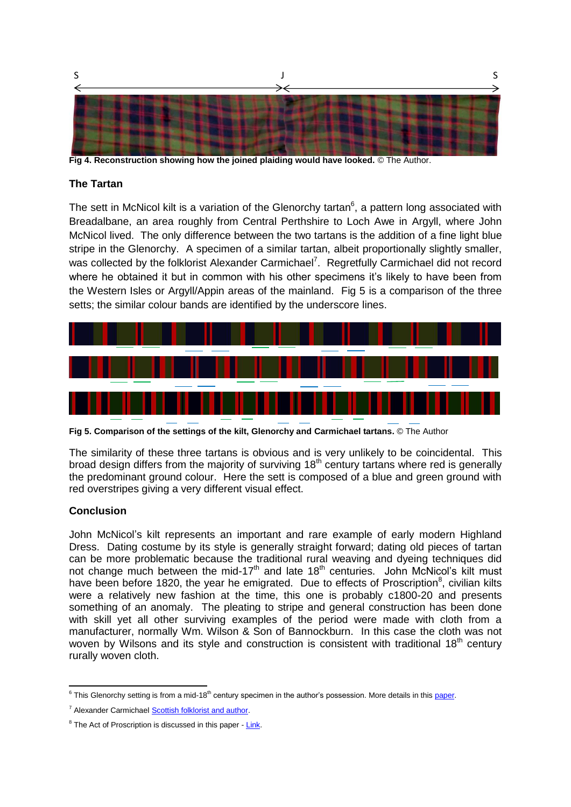

**Fig 4. Reconstruction showing how the joined plaiding would have looked.** © The Author.

### **The Tartan**

The sett in McNicol kilt is a variation of the Glenorchy tartan $6$ , a pattern long associated with Breadalbane, an area roughly from Central Perthshire to Loch Awe in Argyll, where John McNicol lived. The only difference between the two tartans is the addition of a fine light blue stripe in the Glenorchy. A specimen of a similar tartan, albeit proportionally slightly smaller, was collected by the folklorist Alexander Carmichael<sup>7</sup>. Regretfully Carmichael did not record where he obtained it but in common with his other specimens it's likely to have been from the Western Isles or Argyll/Appin areas of the mainland. Fig 5 is a comparison of the three setts; the similar colour bands are identified by the underscore lines.



**Fig 5. Comparison of the settings of the kilt, Glenorchy and Carmichael tartans.** © The Author

The similarity of these three tartans is obvious and is very unlikely to be coincidental. This broad design differs from the majority of surviving  $18<sup>th</sup>$  century tartans where red is generally the predominant ground colour. Here the sett is composed of a blue and green ground with red overstripes giving a very different visual effect.

## **Conclusion**

John McNicol's kilt represents an important and rare example of early modern Highland Dress. Dating costume by its style is generally straight forward; dating old pieces of tartan can be more problematic because the traditional rural weaving and dyeing techniques did not change much between the mid-17<sup>th</sup> and late  $18<sup>th</sup>$  centuries. John McNicol's kilt must have been before 1820, the year he emigrated. Due to effects of Proscription<sup>8</sup>, civilian kilts were a relatively new fashion at the time, this one is probably c1800-20 and presents something of an anomaly. The pleating to stripe and general construction has been done with skill yet all other surviving examples of the period were made with cloth from a manufacturer, normally Wm. Wilson & Son of Bannockburn. In this case the cloth was not woven by Wilsons and its style and construction is consistent with traditional  $18<sup>th</sup>$  century rurally woven cloth.

 6 This Glenorchy setting is from a mid-18th century specimen in the author's possession. More details in thi[s paper.](http://www.scottishtartans.co.uk/Glenorchy_-_the_Original_Setting.pdf)

<sup>7</sup> Alexander Carmichael [Scottish folklorist and author.](https://en.wikipedia.org/wiki/Alexander_Carmichael)

<sup>&</sup>lt;sup>8</sup> The Act of Proscription is discussed in this paper - [Link.](http://www.scottishtartans.co.uk/Act_of_Proscription_1747_-_The_Tartan_Ban_-_Fact_or_Myth.pdf)